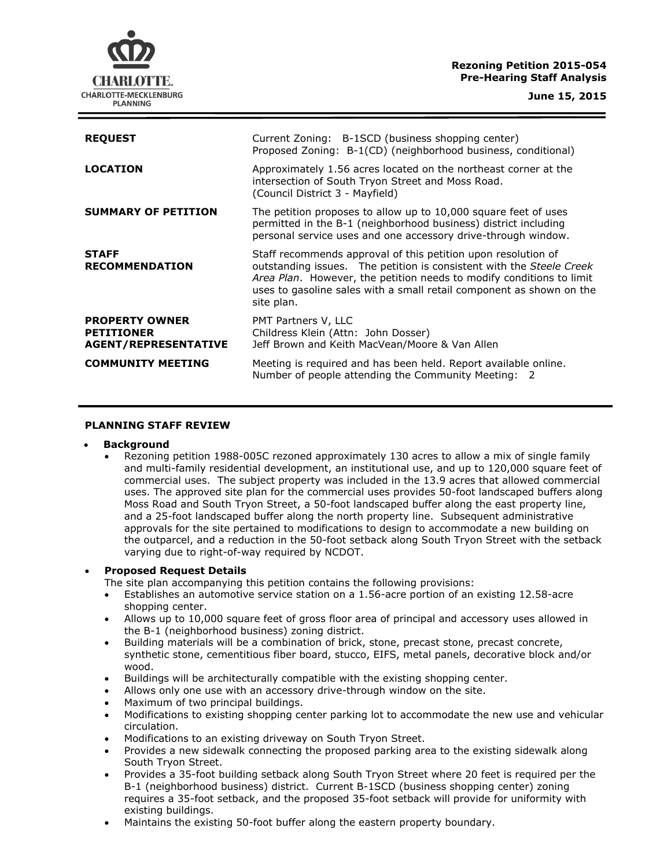# **Rezoning Petition 2015-054 Pre-Hearing Staff Analysis**



| <b>REQUEST</b>                                                            | Current Zoning: B-1SCD (business shopping center)<br>Proposed Zoning: B-1(CD) (neighborhood business, conditional)                                                                                                                                                                                  |
|---------------------------------------------------------------------------|-----------------------------------------------------------------------------------------------------------------------------------------------------------------------------------------------------------------------------------------------------------------------------------------------------|
| <b>LOCATION</b>                                                           | Approximately 1.56 acres located on the northeast corner at the<br>intersection of South Tryon Street and Moss Road.<br>(Council District 3 - Mayfield)                                                                                                                                             |
| <b>SUMMARY OF PETITION</b>                                                | The petition proposes to allow up to 10,000 square feet of uses<br>permitted in the B-1 (neighborhood business) district including<br>personal service uses and one accessory drive-through window.                                                                                                 |
| <b>STAFF</b><br><b>RECOMMENDATION</b>                                     | Staff recommends approval of this petition upon resolution of<br>outstanding issues. The petition is consistent with the Steele Creek<br>Area Plan. However, the petition needs to modify conditions to limit<br>uses to gasoline sales with a small retail component as shown on the<br>site plan. |
| <b>PROPERTY OWNER</b><br><b>PETITIONER</b><br><b>AGENT/REPRESENTATIVE</b> | PMT Partners V, LLC<br>Childress Klein (Attn: John Dosser)<br>Jeff Brown and Keith MacVean/Moore & Van Allen                                                                                                                                                                                        |
| <b>COMMUNITY MEETING</b>                                                  | Meeting is required and has been held. Report available online.<br>Number of people attending the Community Meeting: 2                                                                                                                                                                              |

### **PLANNING STAFF REVIEW**

### **Background**

 Rezoning petition 1988-005C rezoned approximately 130 acres to allow a mix of single family and multi-family residential development, an institutional use, and up to 120,000 square feet of commercial uses. The subject property was included in the 13.9 acres that allowed commercial uses. The approved site plan for the commercial uses provides 50-foot landscaped buffers along Moss Road and South Tryon Street, a 50-foot landscaped buffer along the east property line, and a 25-foot landscaped buffer along the north property line. Subsequent administrative approvals for the site pertained to modifications to design to accommodate a new building on the outparcel, and a reduction in the 50-foot setback along South Tryon Street with the setback varying due to right-of-way required by NCDOT.

## **Proposed Request Details**

The site plan accompanying this petition contains the following provisions:

- Establishes an automotive service station on a 1.56-acre portion of an existing 12.58-acre shopping center.
- Allows up to 10,000 square feet of gross floor area of principal and accessory uses allowed in the B-1 (neighborhood business) zoning district.
- Building materials will be a combination of brick, stone, precast stone, precast concrete, synthetic stone, cementitious fiber board, stucco, EIFS, metal panels, decorative block and/or wood.
- Buildings will be architecturally compatible with the existing shopping center.
- Allows only one use with an accessory drive-through window on the site.
- Maximum of two principal buildings.
- Modifications to existing shopping center parking lot to accommodate the new use and vehicular circulation.
- Modifications to an existing driveway on South Tryon Street.
- Provides a new sidewalk connecting the proposed parking area to the existing sidewalk along South Tryon Street.
- Provides a 35-foot building setback along South Tryon Street where 20 feet is required per the B-1 (neighborhood business) district. Current B-1SCD (business shopping center) zoning requires a 35-foot setback, and the proposed 35-foot setback will provide for uniformity with existing buildings.
- Maintains the existing 50-foot buffer along the eastern property boundary.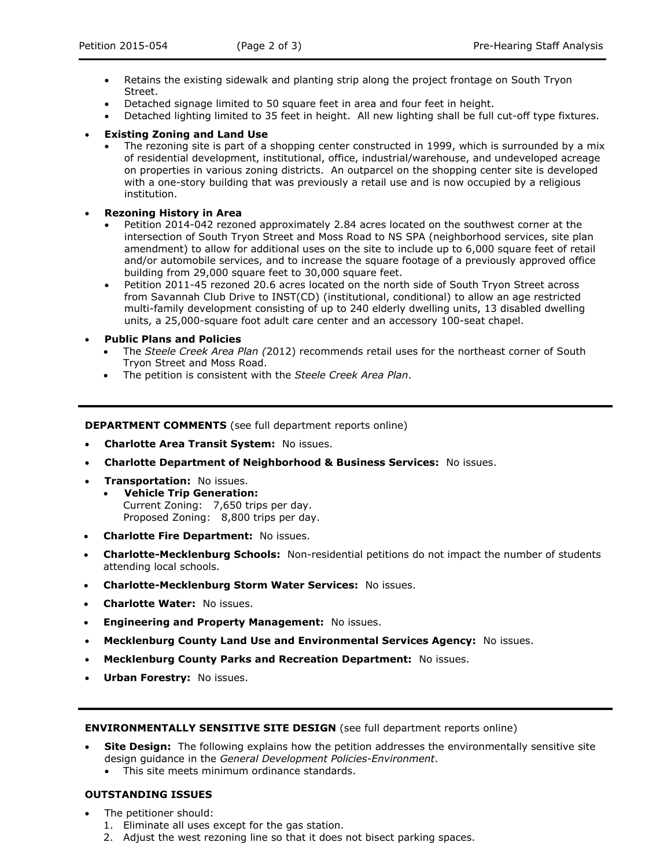- Retains the existing sidewalk and planting strip along the project frontage on South Tryon Street.
- Detached signage limited to 50 square feet in area and four feet in height.
- Detached lighting limited to 35 feet in height. All new lighting shall be full cut-off type fixtures.
- **Existing Zoning and Land Use**
	- The rezoning site is part of a shopping center constructed in 1999, which is surrounded by a mix of residential development, institutional, office, industrial/warehouse, and undeveloped acreage on properties in various zoning districts. An outparcel on the shopping center site is developed with a one-story building that was previously a retail use and is now occupied by a religious institution.
- **Rezoning History in Area**
	- Petition 2014-042 rezoned approximately 2.84 acres located on the southwest corner at the intersection of South Tryon Street and Moss Road to NS SPA (neighborhood services, site plan amendment) to allow for additional uses on the site to include up to 6,000 square feet of retail and/or automobile services, and to increase the square footage of a previously approved office building from 29,000 square feet to 30,000 square feet.
	- Petition 2011-45 rezoned 20.6 acres located on the north side of South Tryon Street across from Savannah Club Drive to INST(CD) (institutional, conditional) to allow an age restricted multi-family development consisting of up to 240 elderly dwelling units, 13 disabled dwelling units, a 25,000-square foot adult care center and an accessory 100-seat chapel.
- **Public Plans and Policies**
	- The *Steele Creek Area Plan (*2012) recommends retail uses for the northeast corner of South Tryon Street and Moss Road.
	- The petition is consistent with the *Steele Creek Area Plan*.

**DEPARTMENT COMMENTS** (see full department reports online)

- **Charlotte Area Transit System:** No issues.
- **Charlotte Department of Neighborhood & Business Services:** No issues.
- **Transportation:** No issues.
	- **Vehicle Trip Generation:** Current Zoning: 7,650 trips per day. Proposed Zoning: 8,800 trips per day.
- **Charlotte Fire Department:** No issues.
- **Charlotte-Mecklenburg Schools:** Non-residential petitions do not impact the number of students attending local schools.
- **Charlotte-Mecklenburg Storm Water Services:** No issues.
- **Charlotte Water:** No issues.
- **Engineering and Property Management:** No issues.
- **Mecklenburg County Land Use and Environmental Services Agency:** No issues.
- **Mecklenburg County Parks and Recreation Department:** No issues.
- **Urban Forestry:** No issues.

### **ENVIRONMENTALLY SENSITIVE SITE DESIGN** (see full department reports online)

- **Site Design:** The following explains how the petition addresses the environmentally sensitive site design guidance in the *General Development Policies-Environment*.
	- This site meets minimum ordinance standards.

## **OUTSTANDING ISSUES**

- The petitioner should:
	- 1. Eliminate all uses except for the gas station.
	- 2. Adjust the west rezoning line so that it does not bisect parking spaces.